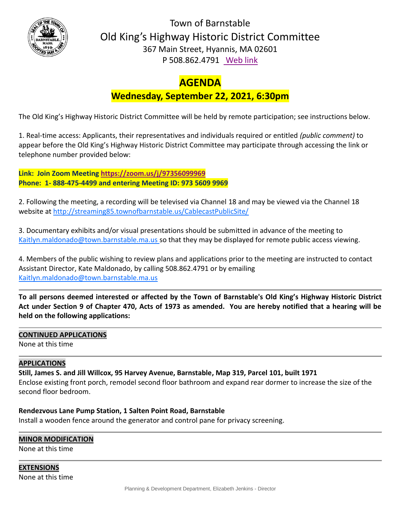

Town of Barnstable Old King's Highway Historic District Committee 367 Main Street, Hyannis, MA 02601 P 508.862.4791 [Web link](https://tobweb.town.barnstable.ma.us/boardscommittees/OldKingsHighway/?brd=Old+King%27s+Highway&year=2021)

# **AGENDA**

## **Wednesday, September 22, 2021, 6:30pm**

The Old King's Highway Historic District Committee will be held by remote participation; see instructions below.

1. Real-time access: Applicants, their representatives and individuals required or entitled *(public comment)* to appear before the Old King's Highway Historic District Committee may participate through accessing the link or telephone number provided below:

**Link: Join Zoom Meeting<https://zoom.us/j/97356099969> Phone: 1- 888-475-4499 and entering Meeting ID: 973 5609 9969**

2. Following the meeting, a recording will be televised via Channel 18 and may be viewed via the Channel 18 website at<http://streaming85.townofbarnstable.us/CablecastPublicSite/>

3. Documentary exhibits and/or visual presentations should be submitted in advance of the meeting to Kaitlyn.maldonado@town.barnstable.ma.us so that they may be displayed for remote public access viewing.

4. Members of the public wishing to review plans and applications prior to the meeting are instructed to contact Assistant Director, Kate Maldonado, by calling 508.862.4791 or by emailing Kaitlyn.maldonado@town.barnstable.ma.us

**To all persons deemed interested or affected by the Town of Barnstable's Old King's Highway Historic District Act under Section 9 of Chapter 470, Acts of 1973 as amended. You are hereby notified that a hearing will be held on the following applications:**

### **CONTINUED APPLICATIONS**

None at this time

### **APPLICATIONS**

**Still, James S. and Jill Willcox, 95 Harvey Avenue, Barnstable, Map 319, Parcel 101, built 1971**

Enclose existing front porch, remodel second floor bathroom and expand rear dormer to increase the size of the second floor bedroom.

#### **Rendezvous Lane Pump Station, 1 Salten Point Road, Barnstable**

Install a wooden fence around the generator and control pane for privacy screening.

#### **MINOR MODIFICATION**

None at this time

#### **EXTENSIONS** None at this time